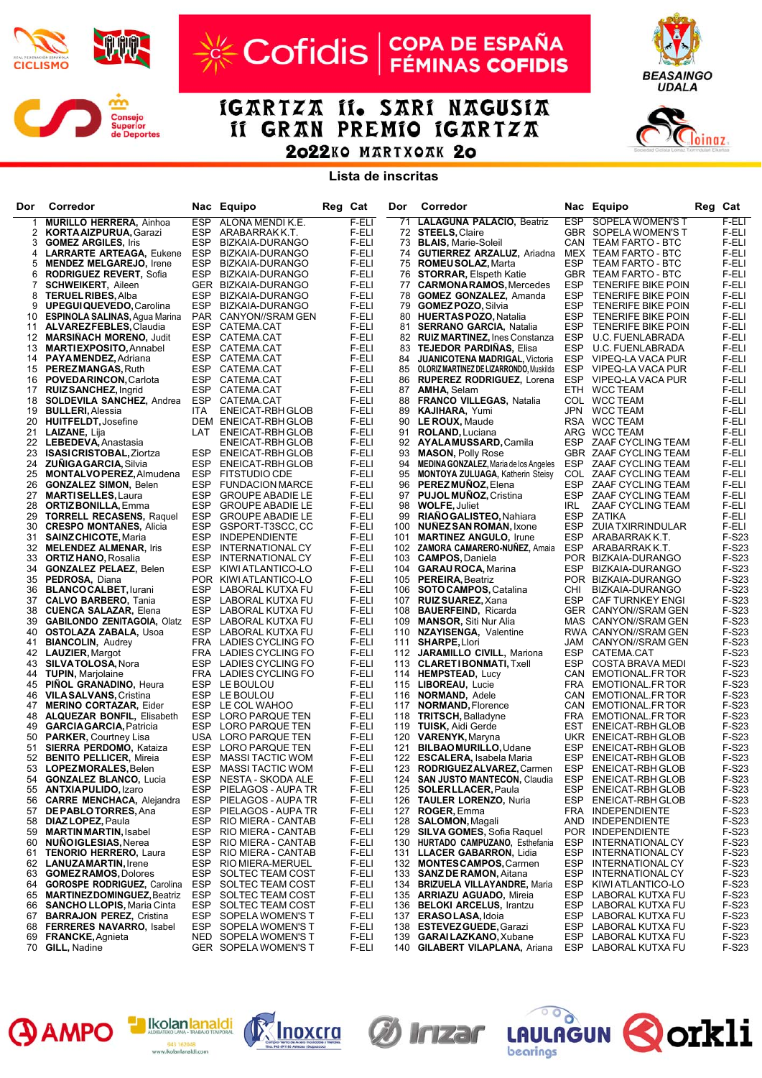

## $\boldsymbol{\mathcal{C}}$

## Cofidis | COPA DE ESPAÑA

IGARTZA II. SARI NAGUSIA II GRAN PREMIO IGARTZA 2022KO MARTXOAK 20

**Lista de inscritas**

| Dor      | Corredor                                                      |                   | Nac Equipo                                     | Reg Cat |                | Dor        | Corredor                                                             |            | Nac Equipo                                        | Reg | Cat                   |
|----------|---------------------------------------------------------------|-------------------|------------------------------------------------|---------|----------------|------------|----------------------------------------------------------------------|------------|---------------------------------------------------|-----|-----------------------|
| -1       | <b>MURILLO HERRERA, Ainhoa</b>                                | <b>ESP</b>        | ALOÑA MENDI K.E.                               |         | F-ELI          | 71         | <b>LALAGUNA PALACIO, Beatriz</b>                                     | ESP        | SOPELA WOMEN'S T                                  |     | F-ELI                 |
| 2        | <b>KORTA AIZPURUA, Garazi</b>                                 | ESP               | ARABARRAK K.T.                                 |         | F-ELI          |            | 72 STEELS, Claire                                                    |            | GBR SOPELA WOMEN'S T                              |     | F-ELI                 |
| 3        | <b>GOMEZ ARGILES, Iris</b>                                    | ESP               | BIZKAIA-DURANGO                                |         | F-ELI          |            | 73 BLAIS, Marie-Soleil                                               |            | CAN TEAM FARTO - BTC                              |     | F-ELI                 |
| 4        | <b>LARRARTE ARTEAGA, Eukene</b>                               | ESP               | BIZKAIA-DURANGO                                |         | F-ELI          | 74         | <b>GUTIERREZ ARZALUZ, Ariadna</b>                                    |            | MEX TEAM FARTO - BTC                              |     | F-ELI                 |
| 5        | <b>MENDEZ MELGAREJO, Irene</b>                                | ESP               | BIZKAIA-DURANGO<br>BIZKAIA-DURANGO             |         | F-ELI          |            | 75 ROMEU SOLAZ, Marta<br>76 STORRAR, Elspeth Katie                   | ESP        | TEAM FARTO - BTC                                  |     | F-ELI                 |
| 6<br>7   | <b>RODRIGUEZ REVERT, Sofia</b><br><b>SCHWEIKERT, Aileen</b>   | ESP               | GER BIZKAIA-DURANGO                            |         | F-ELI<br>F-ELI | 77         | <b>CARMONARAMOS, Mercedes</b>                                        | ESP        | GBR TEAM FARTO - BTC<br><b>TENERIFE BIKE POIN</b> |     | F-ELI<br>F-ELI        |
| 8        | <b>TERUEL RIBES, Alba</b>                                     | ESP               | BIZKAIA-DURANGO                                |         | F-ELI          |            | 78 GOMEZ GONZALEZ, Amanda                                            | ESP        | <b>TENERIFE BIKE POIN</b>                         |     | F-ELI                 |
| 9        | <b>UPEGUIQUEVEDO, Carolina</b>                                | ESP               | BIZKAIA-DURANGO                                |         | F-ELI          |            | 79 <b>GOMEZ POZO, Silvia</b>                                         | ESP        | <b>TENERIFE BIKE POIN</b>                         |     | F-ELI                 |
| 10       | <b>ESPINOLA SALINAS, Agua Marina</b>                          |                   | PAR CANYON//SRAM GEN                           |         | F-ELI          |            | 80 HUERTAS POZO, Natalia                                             | ESP        | <b>TENERIFE BIKE POIN</b>                         |     | F-ELI                 |
| 11       | <b>ALVAREZFEBLES, Claudia</b>                                 |                   | ESP CATEMA.CAT                                 |         | F-ELI          |            | 81 SERRANO GARCIA, Natalia                                           | ESP        | <b>TENERIFE BIKE POIN</b>                         |     | F-ELI                 |
| 12       | <b>MARSINACH MORENO, Judit</b>                                | ESP               | CATEMA.CAT                                     |         | F-ELI          |            | 82 <b>RUIZ MARTINEZ, Ines Constanza</b>                              | ESP        | U.C. FUENLABRADA                                  |     | F-ELI                 |
| 13       | <b>MARTIEXPOSITO, Annabel</b>                                 | ESP               | CATEMA.CAT                                     |         | F-ELI          | 83         | <b>TEJEDOR PARDINAS, Elisa</b>                                       | ESP        | U.C. FUENLABRADA                                  |     | F-ELI                 |
| 14       | <b>PAYAMENDEZ, Adriana</b>                                    |                   | ESP CATEMA.CAT                                 |         | F-ELI          | 84         | <b>JUANICOTENA MADRIGAL, Victoria</b>                                | ESP        | VIPEQ-LA VACA PUR                                 |     | F-ELI                 |
| 15       | <b>PEREZMANGAS, Ruth</b>                                      | ESP               | CATEMA.CAT                                     |         | F-ELI          | 85         | <b>OLORIZ MARTINEZ DE LIZARRONDO, Muskilda</b>                       | ESP        | VIPEQ-LA VACA PUR                                 |     | F-ELI                 |
| 16       | <b>POVEDARINCON, Carlota</b>                                  | ESP               | CATEMA.CAT                                     |         | F-ELI          | 86         | <b>RUPEREZ RODRIGUEZ, Lorena</b>                                     | ESP        | VIPEQ-LA VACA PUR                                 |     | F-ELI                 |
| 17       | <b>RUIZ SANCHEZ, Ingrid</b>                                   | ESP               | CATEMA.CAT                                     |         | F-ELI          | 87         | <b>AMHA, Selam</b>                                                   |            | ETH WCC TEAM                                      |     | F-ELI                 |
| 18<br>19 | <b>SOLDEVILA SANCHEZ, Andrea</b><br><b>BULLERI, Alessia</b>   | ESP<br><b>ITA</b> | CATEMA.CAT<br>ENEICAT-RBH GLOB                 |         | F-ELI<br>F-ELI | 88<br>89   | <b>FRANCO VILLEGAS, Natalia</b><br><b>KAJIHARA, Yumi</b>             |            | COL WCC TEAM<br>JPN WCC TEAM                      |     | F-ELI<br>F-ELI        |
| 20       | HUITFELDT, Josefine                                           |                   | DEM ENEICAT-RBH GLOB                           |         | F-ELI          | 90         | LE ROUX, Maude                                                       |            | RSA WCC TEAM                                      |     | F-ELI                 |
| 21       | <b>LAIZANE, Lija</b>                                          | LAT               | ENEICAT-RBH GLOB                               |         | F-ELI          | 91         | <b>ROLAND, Luciana</b>                                               |            | ARG WCC TEAM                                      |     | F-ELI                 |
|          | 22 LEBEDEVA, Anastasia                                        |                   | ENEICAT-RBH GLOB                               |         | F-ELI          |            | 92 AYALAMUSSARD, Camila                                              |            | ESP ZAAF CYCLING TEAM                             |     | F-ELI                 |
| 23       | <b>ISASICRISTOBAL, Ziortza</b>                                | ESP               | ENEICAT-RBH GLOB                               |         | F-ELI          | 93         | <b>MASON, Polly Rose</b>                                             |            | GBR ZAAF CYCLING TEAM                             |     | F-ELI                 |
| 24       | <b>ZUNIGAGARCIA, Silvia</b>                                   | ESP               | ENEICAT-RBH GLOB                               |         | F-ELI          | 94         | <b>MEDINA GONZALEZ, Maria de los Angeles</b>                         | ESP        | ZAAF CYCLING TEAM                                 |     | F-ELI                 |
| 25       | <b>MONTALVOPEREZ, Almudena</b>                                | ESP               | <b>FITSTUDIO CDE</b>                           |         | F-ELI          | 95         | <b>MONTOYA ZULUAGA, Katherin Steisy</b>                              |            | COL ZAAF CYCLING TEAM                             |     | F-ELI                 |
| 26       | <b>GONZALEZ SIMON, Belen</b>                                  | ESP               | <b>FUNDACION MARCE</b>                         |         | F-ELI          | 96         | <b>PEREZMUNOZ, Elena</b>                                             | ESP        | ZAAF CYCLING TEAM                                 |     | F-ELI                 |
| 27       | <b>MARTISELLES, Laura</b>                                     |                   | ESP GROUPE ABADIE LE                           |         | F-ELI          |            | 97 PUJOL MUNOZ, Cristina                                             | ESP        | ZAAF CYCLING TEAM                                 |     | F-ELI                 |
| 28       | <b>ORTIZ BONILLA, Emma</b>                                    | ESP               | <b>GROUPE ABADIE LE</b>                        |         | F-ELI          | 98         | <b>WOLFE, Juliet</b>                                                 | IRL        | ZAAF CYCLING TEAM                                 |     | F-ELI                 |
| 29       | <b>TORRELL RECASENS, Raquel</b>                               | ESP               | <b>GROUPE ABADIE LE</b>                        |         | F-ELI          | 99         | <b>RIAÑO GALISTEO, Nahiara</b>                                       | ESP        | <b>ZATIKA</b>                                     |     | F-ELI                 |
| 30<br>31 | <b>CRESPO MONTANES, Alicia</b><br><b>SAINZ CHICOTE, Maria</b> | ESP<br>ESP        | GSPORT-T3SCC, CC<br><b>INDEPENDIENTE</b>       |         | F-ELI<br>F-ELI | 100<br>101 | <b>NUNEZ SAN ROMAN, Ixone</b>                                        | ESP<br>ESP | <b>ZUIA TXIRRINDULAR</b><br>ARABARRAK K.T.        |     | F-ELI<br>F-S23        |
| 32       | <b>MELENDEZ ALMENAR, Iris</b>                                 | ESP               | INTERNATIONAL CY                               |         | F-ELI          | 102        | <b>MARTINEZ ANGULO, Irune</b><br><b>ZAMORA CAMARERO-NUNEZ, Amaia</b> | ESP        | ARABARRAK K.T.                                    |     | F-S23                 |
| 33       | <b>ORTIZ HANO, Rosalia</b>                                    | ESP               | INTERNATIONAL CY                               |         | F-ELI          |            | 103 CAMPOS, Daniela                                                  |            | POR BIZKAIA-DURANGO                               |     | F-S23                 |
| 34       | <b>GONZALEZ PELAEZ, Belen</b>                                 | ESP               | KIWI ATLANTICO-LO                              |         | F-ELI          |            | 104 GARAU ROCA, Marina                                               | ESP        | BIZKAIA-DURANGO                                   |     | F-S23                 |
| 35       | PEDROSA, Diana                                                |                   | POR KIWI ATLANTICO-LO                          |         | F-ELI          |            | 105 PEREIRA, Beatriz                                                 |            | POR BIZKAIA-DURANGO                               |     | F-S23                 |
| 36       | <b>BLANCOCALBET, lurani</b>                                   |                   | ESP LABORAL KUTXA FU                           |         | F-ELI          |            | 106 SOTO CAMPOS, Catalina                                            | CHI        | BIZKAIA-DURANGO                                   |     | <b>F-S23</b>          |
| 37       | <b>CALVO BARBERO, Tania</b>                                   | ESP               | LABORAL KUTXA FU                               |         | F-ELI          | 107        | <b>RUIZ SUAREZ, Xana</b>                                             | ESP        | <b>CAF TURNKEY ENGI</b>                           |     | F-S23                 |
| 38       | <b>CUENCA SALAZAR, Elena</b>                                  |                   | ESP LABORAL KUTXA FU                           |         | F-ELI          | 108        | <b>BAUERFEIND, Ricarda</b>                                           |            | GER CANYON//SRAM GEN                              |     | F-S23                 |
| 39       | <b>GABILONDO ZENITAGOIA, Olatz</b>                            | ESP               | LABORAL KUTXA FU                               |         | F-ELI          | 109        | <b>MANSOR, Siti Nur Alia</b>                                         |            | MAS CANYON//SRAM GEN                              |     | F-S23                 |
| 40       | <b>OSTOLAZA ZABALA, Usoa</b>                                  |                   | ESP LABORAL KUTXA FU                           |         | F-ELI          | 110        | <b>NZAYISENGA, Valentine</b>                                         |            | RWA CANYON//SRAM GEN                              |     | F-S23                 |
| 41<br>42 | <b>BIANCOLIN, Audrey</b><br><b>LAUZIER, Margot</b>            |                   | FRA LADIES CYCLING FO<br>FRA LADIES CYCLING FO |         | F-ELI<br>F-ELI | 111        | <b>SHARPE, Llori</b><br>112 JARAMILLO CIVILL, Mariona                | ESP        | JAM CANYON//SRAM GEN<br>CATEMA.CAT                |     | F-S23<br>F-S23        |
| 43       | <b>SILVATOLOSA, Nora</b>                                      |                   | ESP LADIES CYCLING FO                          |         | F-ELI          | 113        | <b>CLARETIBONMATI, Txell</b>                                         | ESP        | <b>COSTA BRAVA MEDI</b>                           |     | F-S23                 |
| 44       | <b>TUPIN, Marjolaine</b>                                      |                   | FRA LADIES CYCLING FO                          |         | F-ELI          |            | 114 HEMPSTEAD, Lucy                                                  |            | CAN EMOTIONAL.FR TOR                              |     | <b>F-S23</b>          |
| 45       | <b>PINOL GRANADINO, Heura</b>                                 |                   | ESP LE BOULOU                                  |         | F-ELI          | 115        | LIBOREAU, Lucie                                                      | FRA        | EMOTIONAL.FR TOR                                  |     | F-S23                 |
| 46       | <b>VILA SALVANS, Cristina</b>                                 |                   | ESP LE BOULOU                                  |         | F-ELI          | 116        | <b>NORMAND, Adele</b>                                                |            | CAN EMOTIONAL.FR TOR                              |     | <b>F-S23</b>          |
| 47       | <b>MERINO CORTAZAR, Eider</b>                                 |                   | ESP LE COL WAHOO                               |         | F-ELI          | 117        | <b>NORMAND, Florence</b>                                             |            | CAN EMOTIONAL.FR TOR                              |     | F-S23                 |
| 48       | <b>ALQUEZAR BONFIL, Elisabeth</b>                             |                   | ESP LORO PARQUE TEN                            |         | F-ELI          | 118        | <b>TRITSCH, Balladyne</b>                                            |            | FRA EMOTIONAL.FR TOR                              |     | F-S23                 |
| 49       | <b>GARCIA GARCIA, Patricia</b>                                |                   | ESP LORO PARQUE TEN                            |         | F-ELI          |            | 119 TUISK, Aidi Gerde                                                |            | EST ENEICAT-RBH GLOB                              |     | F-S23                 |
| 50       | <b>PARKER, Courtney Lisa</b>                                  |                   | USA LORO PARQUE TEN                            |         | F-ELI          | 120        | <b>VARENYK, Maryna</b>                                               |            | UKR ENEICAT-RBH GLOB                              |     | F-S23                 |
| 51<br>52 | SIERRA PERDOMO, Kataiza<br><b>BENITO PELLICER, Mireia</b>     |                   | ESP LORO PARQUE TEN<br>ESP MASSI TACTIC WOM    |         | F-ELI<br>F-ELI | 121        | <b>BILBAO MURILLO, Udane</b><br>122 <b>ESCALERA</b> , Isabela Maria  | ESP        | ENEICAT-RBH GLOB<br>ESP ENEICAT-RBH GLOB          |     | F-S23<br>F-S23        |
| 53       | LOPEZMORALES, Belen                                           | ESP               | <b>MASSI TACTIC WOM</b>                        |         | F-ELI          |            | 123 RODRIGUEZALVAREZ, Carmen                                         |            | ESP ENEICAT-RBH GLOB                              |     | F-S23                 |
| 54       | <b>GONZALEZ BLANCO, Lucia</b>                                 | ESP               | NESTA - SKODA ALE                              |         | F-ELI          | 124        | <b>SAN JUSTO MANTECON, Claudia</b>                                   | ESP        | ENEICAT-RBH GLOB                                  |     | F-S23                 |
| 55       | <b>ANTXIAPULIDO, Izaro</b>                                    | ESP               | PIELAGOS - AUPA TR                             |         | F-ELI          |            | 125 SOLERLLACER, Paula                                               | ESP        | ENEICAT-RBH GLOB                                  |     | F-S23                 |
| 56       | <b>CARRE MENCHACA, Alejandra</b>                              | ESP               | PIELAGOS - AUPA TR                             |         | F-ELI          | 126        | <b>TAULER LORENZO, Nuria</b>                                         | ESP        | ENEICAT-RBH GLOB                                  |     | F-S23                 |
| 57       | <b>DE PABLO TORRES, Ana</b>                                   | ESP               | PIELAGOS - AUPA TR                             |         | F-ELI          | 127        | <b>ROGER, Emma</b>                                                   | FRA        | <b>INDEPENDIENTE</b>                              |     | F-S23                 |
| 58       | <b>DIAZ LOPEZ, Paula</b>                                      | ESP               | RIO MIERA - CANTAB                             |         | F-ELI          | 128        | <b>SALOMON, Magali</b>                                               | AND        | <b>INDEPENDIENTE</b>                              |     | F-S23                 |
| 59       | <b>MARTIN MARTIN, Isabel</b>                                  | ESP               | RIO MIERA - CANTAB                             |         | F-ELI          | 129        | <b>SILVA GOMES, Sofia Raquel</b>                                     |            | POR INDEPENDIENTE                                 |     | F-S23                 |
| 60       | <b>NUNO IGLESIAS, Nerea</b>                                   | ESP               | RIO MIERA - CANTAB                             |         | F-ELI          |            | 130 HURTADO CAMPUZANO, Esthefania                                    | ESP        | INTERNATIONAL CY                                  |     | F-S23                 |
| 61       | <b>TENORIO HERRERO, Laura</b>                                 | ESP               | RIO MIERA - CANTAB                             |         | F-ELI          |            | 131 LLACER GABARRON, Lidia                                           | ESP        | INTERNATIONAL CY                                  |     | <b>F-S23</b>          |
| 62<br>63 | <b>LANUZAMARTIN, Irene</b><br><b>GOMEZ RAMOS, Dolores</b>     | ESP<br>ESP        | RIO MIERA-MERUEL<br>SOLTEC TEAM COST           |         | F-ELI<br>F-ELI | 133        | 132 MONTES CAMPOS, Carmen<br><b>SANZ DE RAMON, Aitana</b>            | ESP<br>ESP | INTERNATIONAL CY<br>INTERNATIONAL CY              |     | F-S23<br><b>F-S23</b> |
| 64       | <b>GOROSPE RODRIGUEZ, Carolina</b>                            | ESP               | SOLTEC TEAM COST                               |         | F-ELI          |            | 134 BRIZUELA VILLAYANDRE, Maria                                      | ESP        | KIWI ATLANTICO-LO                                 |     | F-S23                 |
| 65       | <b>MARTINEZDOMINGUEZ, Beatriz</b>                             | ESP               | SOLTEC TEAM COST                               |         | F-ELI          | 135        | <b>ARRIAZU AGUADO, Mireia</b>                                        | <b>ESP</b> | LABORAL KUTXA FU                                  |     | <b>F-S23</b>          |
| 66       | <b>SANCHO LLOPIS, Maria Cinta</b>                             | ESP               | SOLTEC TEAM COST                               |         | F-ELI          | 136        | <b>BELOKI ARCELUS, Irantzu</b>                                       | ESP        | LABORAL KUTXA FU                                  |     | F-S23                 |
| 67       | <b>BARRAJON PEREZ, Cristina</b>                               | ESP               | SOPELA WOMEN'S T                               |         | F-ELI          | 137        | <b>ERASOLASA, Idoia</b>                                              | ESP        | LABORAL KUTXA FU                                  |     | F-S23                 |
| 68       | <b>FERRERES NAVARRO, Isabel</b>                               |                   | ESP SOPELA WOMEN'S T                           |         | F-ELI          |            | 138 ESTEVEZ GUEDE, Garazi                                            |            | ESP LABORAL KUTXA FU                              |     | F-S23                 |
| 69       | <b>FRANCKE, Agnieta</b>                                       |                   | NED SOPELA WOMEN'S T                           |         | F-ELI          | 139        | <b>GARAILAZKANO, Xubane</b>                                          | ESP        | LABORAL KUTXA FU                                  |     | <b>F-S23</b>          |
|          | 70 GILL, Nadine                                               |                   | GER SOPELA WOMEN'S T                           |         | F-ELI          |            | 140 GILABERT VILAPLANA, Ariana                                       |            | ESP LABORAL KUTXA FU                              |     | F-S23                 |





d